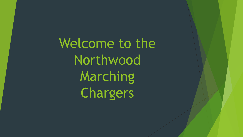Welcome to the Northwood Marching Chargers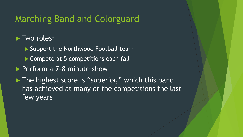#### Marching Band and Colorguard

#### $\blacktriangleright$  Two roles:

- ▶ Support the Northwood Football team
- $\triangleright$  Compete at 5 competitions each fall
- $\blacktriangleright$  Perform a 7-8 minute show
- $\blacktriangleright$  The highest score is "superior," which this band has achieved at many of the competitions the last few years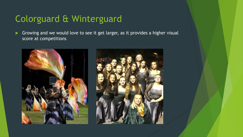# Colorguard & Winterguard

Growing and we would love to see it get larger, as it provides a higher visual score at competitions

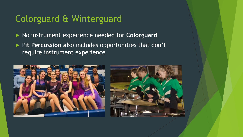## Colorguard & Winterguard

- **No instrument experience needed for Colorguard**
- **Pit Percussion also includes opportunities that don't** require instrument experience



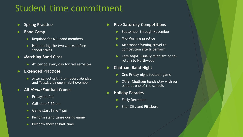# Student time commitment

- **Spring Practice**
- **Band Camp** 
	- Required for ALL band members
	- Held during the two weeks before school starts
- **Marching Band Class** 
	- $\blacktriangleright$  4<sup>th</sup> period every day for fall semester
- **Extended Practices** 
	- $\blacktriangleright$  After school until 5 pm every Monday and Tuesday through mid-November
- u **All Home Football Games** 
	- Fridays in fall
	- Call time 5:30 pm
	- Game start time 7 pm
	- Perform stand tunes during game
	- Perform show at half-time
- **Five Saturday Competitions** 
	- September through November
	- Mid-Morning practice
	- Afternoon/Evening travel to competition site & perform
	- Late Night (usually midnight or so) return to Northwood
- **Chatham Band Night** 
	- One Friday night football game
	- Other Chatham bands play with our band at one of the schools
- **Holiday Parades** 
	- **Early December**
	- **Siler City and Pittsboro**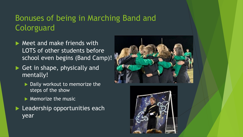#### Bonuses of being in Marching Band and **Colorguard**

- $\blacktriangleright$  Meet and make friends with LOTS of other students before school even begins (Band Camp)!
- $\blacktriangleright$  Get in shape, physically and mentally!
	- $\blacktriangleright$  Daily workout to memorize the steps of the show
	- $\blacktriangleright$  Memorize the music
- $\blacktriangleright$  Leadership opportunities each year



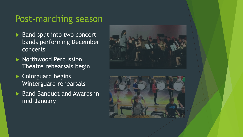#### Post-marching season

- $\blacktriangleright$  Band split into two concert bands performing December concerts
- $\blacktriangleright$  Northwood Percussion Theatre rehearsals begin
- $\blacktriangleright$  Colorguard begins Winterguard rehearsals
- Band Banquet and Awards in mid-January



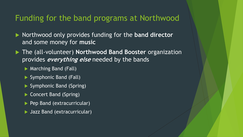#### Funding for the band programs at Northwood

- ▶ Northwood only provides funding for the **band director** and some money for **music**
- ▶ The (all-volunteer) **Northwood Band Booster** organization provides **everything else** needed by the bands
	- $\triangleright$  Marching Band (Fall)
	- $\triangleright$  Symphonic Band (Fall)
	- Symphonic Band (Spring)
	- $\blacktriangleright$  Concert Band (Spring)
	- Pep Band (extracurricular)
	- ▶ Jazz Band (extracurricular)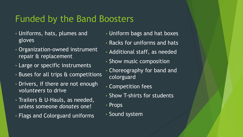# Funded by the Band Boosters

- Uniforms, hats, plumes and gloves
- Organization-owned instrument repair & replacement
- Large or specific instruments
- Buses for all trips & competitions
- Drivers, if there are not enough *volunteers* to drive
- Trailers & U-Hauls, as needed, unless someone *donates* one!
- Flags and Colorguard uniforms
- Uniform bags and hat boxes
- Racks for uniforms and hats
- Additional staff, as needed
- Show music composition
- Choreography for band and colorguard
- Competition fees
- Show T-shirts for students
- Props
- Sound system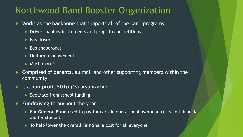#### Northwood Band Booster Organization

- **EX Works as the backbone** that supports all of the band programs:
	- $\triangleright$  Drivers hauling instruments and props to competitions
	- $\blacktriangleright$  Bus drivers
	- $\blacktriangleright$  Bus chaperones
	- $\blacktriangleright$  Uniform management
	- $\blacktriangleright$  Much more!
- u Comprised of **parents**, alumni, and other supporting members within the community
- Is a **non-profit 501(c)(3)** organization
	- $\blacktriangleright$  Separate from school funding
- **Fundraising** throughout the year
	- ▶ For General Fund used to pay for certain operational overhead costs and financial aid for students
	- **To help lower the overall Fair Share cost for all everyone**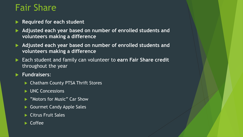## Fair Share

- **Required for each student**
- ▶ Adjusted each year based on number of enrolled students and **volunteers making a difference**
- ▶ Adjusted each year based on number of enrolled students and **volunteers making a difference**
- Each student and family can volunteer to earn Fair Share credit throughout the year

#### u **Fundraisers**:

- ▶ Chatham County PTSA Thrift Stores
- $\blacktriangleright$  UNC Concessions
- **"Motors for Music" Car Show**
- Gourmet Candy Apple Sales
- $\blacktriangleright$  Citrus Fruit Sales
- **Coffee**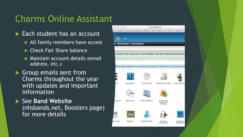## Charms Online Assistant

- Each student has an account
	- $\blacktriangleright$  All family members have access
	- $\blacktriangleright$  Check Fair Share balance
	- $\blacktriangleright$  Maintain account details (email address, etc.)
- Group emails sent from Charms throughout the year with updates and important information
- ▶ See Band Website (nhsbands.net, Boosters page) for more details

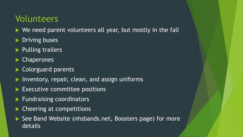### Volunteers

- $\blacktriangleright$  We need parent volunteers all year, but mostly in the fall
- Driving buses
- Pulling trailers
- Chaperones
- Colorguard parents
- Inventory, repair, clean, and assign uniforms
- Executive committee positions
- **Fundraising coordinators**
- Cheering at competitions
- ▶ See Band Website (nhsbands.net, Boosters page) for more details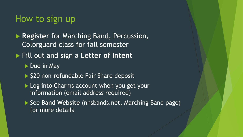#### How to sign up

**Register** for Marching Band, Percussion, Colorguard class for fall semester

▶ Fill out and sign a **Letter of Intent** 

 $\triangleright$  Due in May

- ▶ \$20 non-refundable Fair Share deposit
- ▶ Log into Charms account when you get your information (email address required)
- ▶ See Band Website (nhsbands.net, Marching Band page) for more details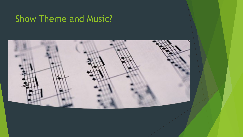# Show Theme and Music?

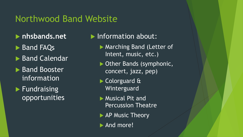#### Northwood Band Website

- $\blacktriangleright$  **nhsbands.net**
- Band FAQs
- ▶ Band Calendar
- ▶ Band Booster information
- $\blacktriangleright$  Fundraising opportunities

#### $\blacktriangleright$  Information about:

- Marching Band (Letter of Intent, music, etc.)
- Other Bands (symphonic, concert, jazz, pep)
- Colorguard & Winterguard
- $\blacktriangleright$  Musical Pit and Percussion Theatre
- $\blacktriangleright$  AP Music Theory
- $\blacktriangleright$  And more!